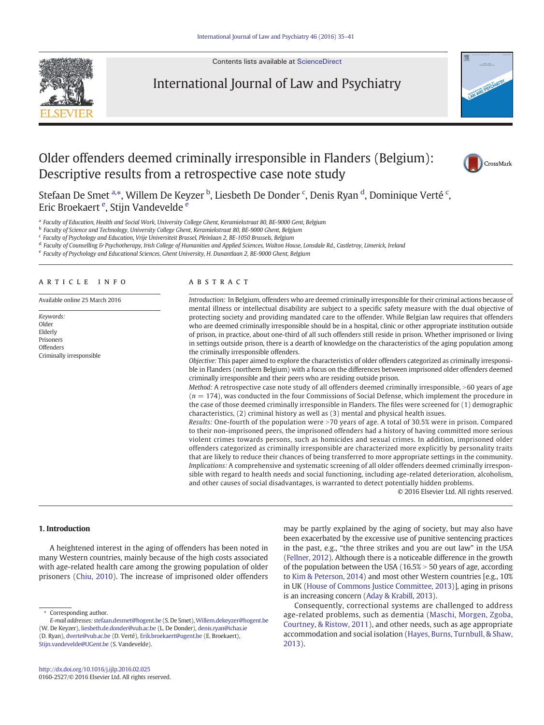Contents lists available at [ScienceDirect](http://www.sciencedirect.com/science/journal/01602527)



International Journal of Law and Psychiatry



# Older offenders deemed criminally irresponsible in Flanders (Belgium): Descriptive results from a retrospective case note study



Stefaan De Smet <sup>a,\*</sup>, Willem De Keyzer <sup>b</sup>, Liesbeth De Donder <sup>c</sup>, Denis Ryan <sup>d</sup>, Dominique Verté <sup>c</sup>, Eric Broekaert <sup>e</sup>, Stijn Vandevelde <sup>e</sup>

a Faculty of Education, Health and Social Work, University College Ghent, Keramiekstraat 80, BE-9000 Gent, Belgium

<sup>b</sup> Faculty of Science and Technology, University College Ghent, Keramiekstraat 80, BE-9000 Ghent, Belgium

 $c$  Faculty of Psychology and Education, Vrije Universiteit Brussel, Pleinlaan 2, BE-1050 Brussels, Belgium

<sup>d</sup> Faculty of Counselling & Psychotherapy, Irish College of Humanities and Applied Sciences, Walton House, Lonsdale Rd., Castletroy, Limerick, Ireland

<sup>e</sup> Faculty of Psychology and Educational Sciences, Ghent University, H. Dunantlaan 2, BE-9000 Ghent, Belgium

# article info abstract

Keywords: Older Elderly Prisoners **Offenders** Criminally irresponsible

Available online 25 March 2016 Introduction: In Belgium, offenders who are deemed criminally irresponsible for their criminal actions because of mental illness or intellectual disability are subject to a specific safety measure with the dual objective of protecting society and providing mandated care to the offender. While Belgian law requires that offenders who are deemed criminally irresponsible should be in a hospital, clinic or other appropriate institution outside of prison, in practice, about one-third of all such offenders still reside in prison. Whether imprisoned or living in settings outside prison, there is a dearth of knowledge on the characteristics of the aging population among the criminally irresponsible offenders.

> Objective: This paper aimed to explore the characteristics of older offenders categorized as criminally irresponsible in Flanders (northern Belgium) with a focus on the differences between imprisoned older offenders deemed criminally irresponsible and their peers who are residing outside prison.

> Method: A retrospective case note study of all offenders deemed criminally irresponsible, >60 years of age  $(n = 174)$ , was conducted in the four Commissions of Social Defense, which implement the procedure in the case of those deemed criminally irresponsible in Flanders. The files were screened for (1) demographic characteristics, (2) criminal history as well as (3) mental and physical health issues.

> Results: One-fourth of the population were >70 years of age. A total of 30.5% were in prison. Compared to their non-imprisoned peers, the imprisoned offenders had a history of having committed more serious violent crimes towards persons, such as homicides and sexual crimes. In addition, imprisoned older offenders categorized as criminally irresponsible are characterized more explicitly by personality traits that are likely to reduce their chances of being transferred to more appropriate settings in the community. Implications: A comprehensive and systematic screening of all older offenders deemed criminally irresponsible with regard to health needs and social functioning, including age-related deterioration, alcoholism, and other causes of social disadvantages, is warranted to detect potentially hidden problems.

© 2016 Elsevier Ltd. All rights reserved.

# 1. Introduction

A heightened interest in the aging of offenders has been noted in many Western countries, mainly because of the high costs associated with age-related health care among the growing population of older prisoners ([Chiu, 2010\)](#page-5-0). The increase of imprisoned older offenders

Corresponding author.

may be partly explained by the aging of society, but may also have been exacerbated by the excessive use of punitive sentencing practices in the past, e.g., "the three strikes and you are out law" in the USA [\(Fellner, 2012\)](#page-6-0). Although there is a noticeable difference in the growth of the population between the USA ( $16.5\% > 50$  years of age, according to [Kim & Peterson, 2014\)](#page-6-0) and most other Western countries [e.g., 10% in UK [\(House of Commons Justice Committee, 2013\)](#page-6-0)], aging in prisons is an increasing concern [\(Aday & Krabill, 2013\)](#page-5-0).

Consequently, correctional systems are challenged to address age-related problems, such as dementia ([Maschi, Morgen, Zgoba,](#page-6-0) [Courtney, & Ristow, 2011\)](#page-6-0), and other needs, such as age appropriate accommodation and social isolation ([Hayes, Burns, Turnbull, & Shaw,](#page-6-0) [2013](#page-6-0)).

E-mail addresses: stefaan.desmet@hogent.be (S. De Smet), Willem.dekeyzer@hogent.be (W. De Keyzer), liesbeth.de.donder@vub.ac.be (L. De Donder), denis.ryan@ichas.ie (D. Ryan), dverte@vub.ac.be (D. Verté), Erik.broekaert@ugent.be (E. Broekaert), [Stijn.vandevelde@UGent.be](mailto:Stijn.vandevelde@UGent.be) (S. Vandevelde).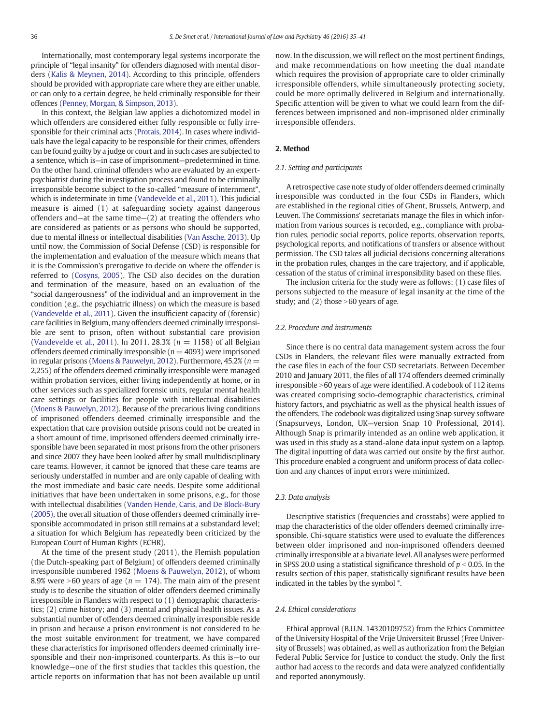Internationally, most contemporary legal systems incorporate the principle of "legal insanity" for offenders diagnosed with mental disorders ([Kalis & Meynen, 2014\)](#page-6-0). According to this principle, offenders should be provided with appropriate care where they are either unable, or can only to a certain degree, be held criminally responsible for their offences [\(Penney, Morgan, & Simpson, 2013\)](#page-6-0).

In this context, the Belgian law applies a dichotomized model in which offenders are considered either fully responsible or fully irresponsible for their criminal acts [\(Protais, 2014\)](#page-6-0). In cases where individuals have the legal capacity to be responsible for their crimes, offenders can be found guilty by a judge or court and in such cases are subjected to a sentence, which is—in case of imprisonment—predetermined in time. On the other hand, criminal offenders who are evaluated by an expertpsychiatrist during the investigation process and found to be criminally irresponsible become subject to the so-called "measure of internment", which is indeterminate in time ([Vandevelde et al., 2011](#page-6-0)). This judicial measure is aimed (1) at safeguarding society against dangerous offenders and—at the same time—(2) at treating the offenders who are considered as patients or as persons who should be supported, due to mental illness or intellectual disabilities [\(Van Assche, 2013](#page-6-0)). Up until now, the Commission of Social Defense (CSD) is responsible for the implementation and evaluation of the measure which means that it is the Commission's prerogative to decide on where the offender is referred to ([Cosyns, 2005](#page-5-0)). The CSD also decides on the duration and termination of the measure, based on an evaluation of the "social dangerousness" of the individual and an improvement in the condition (e.g., the psychiatric illness) on which the measure is based [\(Vandevelde et al., 2011](#page-6-0)). Given the insufficient capacity of (forensic) care facilities in Belgium, many offenders deemed criminally irresponsible are sent to prison, often without substantial care provision [\(Vandevelde et al., 2011\)](#page-6-0). In 2011, 28.3% ( $n = 1158$ ) of all Belgian offenders deemed criminally irresponsible ( $n = 4093$ ) were imprisoned in regular prisons ([Moens & Pauwelyn, 2012\)](#page-6-0). Furthermore, 45.2% ( $n =$ 2,255) of the offenders deemed criminally irresponsible were managed within probation services, either living independently at home, or in other services such as specialized forensic units, regular mental health care settings or facilities for people with intellectual disabilities [\(Moens & Pauwelyn, 2012\)](#page-6-0). Because of the precarious living conditions of imprisoned offenders deemed criminally irresponsible and the expectation that care provision outside prisons could not be created in a short amount of time, imprisoned offenders deemed criminally irresponsible have been separated in most prisons from the other prisoners and since 2007 they have been looked after by small multidisciplinary care teams. However, it cannot be ignored that these care teams are seriously understaffed in number and are only capable of dealing with the most immediate and basic care needs. Despite some additional initiatives that have been undertaken in some prisons, e.g., for those with intellectual disabilities [\(Vanden Hende, Caris, and De Block-Bury](#page-6-0) [\(2005\)](#page-6-0), the overall situation of those offenders deemed criminally irresponsible accommodated in prison still remains at a substandard level; a situation for which Belgium has repeatedly been criticized by the European Court of Human Rights (ECHR).

At the time of the present study (2011), the Flemish population (the Dutch-speaking part of Belgium) of offenders deemed criminally irresponsible numbered 1962 [\(Moens & Pauwelyn, 2012\)](#page-6-0), of whom 8.9% were >60 years of age ( $n = 174$ ). The main aim of the present study is to describe the situation of older offenders deemed criminally irresponsible in Flanders with respect to (1) demographic characteristics; (2) crime history; and (3) mental and physical health issues. As a substantial number of offenders deemed criminally irresponsible reside in prison and because a prison environment is not considered to be the most suitable environment for treatment, we have compared these characteristics for imprisoned offenders deemed criminally irresponsible and their non-imprisoned counterparts. As this is—to our knowledge—one of the first studies that tackles this question, the article reports on information that has not been available up until now. In the discussion, we will reflect on the most pertinent findings, and make recommendations on how meeting the dual mandate which requires the provision of appropriate care to older criminally irresponsible offenders, while simultaneously protecting society, could be more optimally delivered in Belgium and internationally. Specific attention will be given to what we could learn from the differences between imprisoned and non-imprisoned older criminally irresponsible offenders.

# 2. Method

# 2.1. Setting and participants

A retrospective case note study of older offenders deemed criminally irresponsible was conducted in the four CSDs in Flanders, which are established in the regional cities of Ghent, Brussels, Antwerp, and Leuven. The Commissions' secretariats manage the files in which information from various sources is recorded, e.g., compliance with probation rules, periodic social reports, police reports, observation reports, psychological reports, and notifications of transfers or absence without permission. The CSD takes all judicial decisions concerning alterations in the probation rules, changes in the care trajectory, and if applicable, cessation of the status of criminal irresponsibility based on these files.

The inclusion criteria for the study were as follows: (1) case files of persons subjected to the measure of legal insanity at the time of the study; and  $(2)$  those  $>60$  years of age.

#### 2.2. Procedure and instruments

Since there is no central data management system across the four CSDs in Flanders, the relevant files were manually extracted from the case files in each of the four CSD secretariats. Between December 2010 and January 2011, the files of all 174 offenders deemed criminally irresponsible >60 years of age were identified. A codebook of 112 items was created comprising socio-demographic characteristics, criminal history factors, and psychiatric as well as the physical health issues of the offenders. The codebook was digitalized using Snap survey software (Snapsurveys, London, UK—version Snap 10 Professional, 2014). Although Snap is primarily intended as an online web application, it was used in this study as a stand-alone data input system on a laptop. The digital inputting of data was carried out onsite by the first author. This procedure enabled a congruent and uniform process of data collection and any chances of input errors were minimized.

# 2.3. Data analysis

Descriptive statistics (frequencies and crosstabs) were applied to map the characteristics of the older offenders deemed criminally irresponsible. Chi-square statistics were used to evaluate the differences between older imprisoned and non-imprisoned offenders deemed criminally irresponsible at a bivariate level. All analyses were performed in SPSS 20.0 using a statistical significance threshold of  $p < 0.05$ . In the results section of this paper, statistically significant results have been indicated in the tables by the symbol \*.

# 2.4. Ethical considerations

Ethical approval (B.U.N. 14320109752) from the Ethics Committee of the University Hospital of the Vrije Universiteit Brussel (Free University of Brussels) was obtained, as well as authorization from the Belgian Federal Public Service for Justice to conduct the study. Only the first author had access to the records and data were analyzed confidentially and reported anonymously.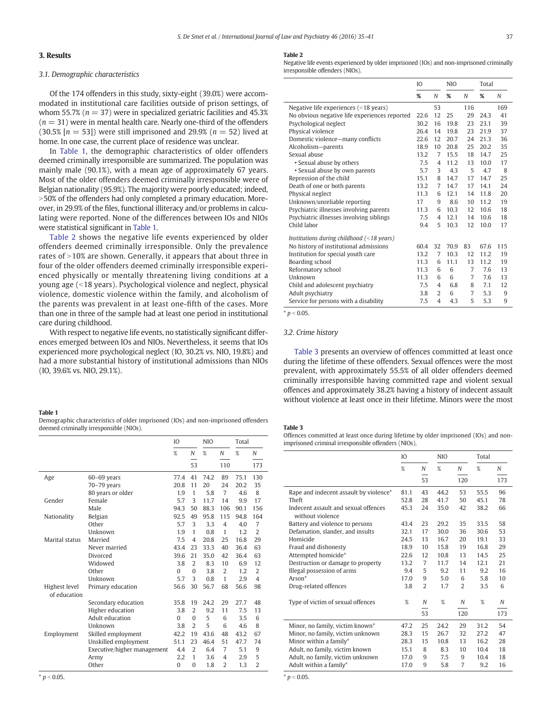# 3. Results

# 3.1. Demographic characteristics

Of the 174 offenders in this study, sixty-eight (39.0%) were accommodated in institutional care facilities outside of prison settings, of whom 55.7% ( $n = 37$ ) were in specialized geriatric facilities and 45.3%  $(n = 31)$  were in mental health care. Nearly one-third of the offenders (30.5%  $[n = 53]$ ) were still imprisoned and 29.9%  $(n = 52)$  lived at home. In one case, the current place of residence was unclear.

In Table 1, the demographic characteristics of older offenders deemed criminally irresponsible are summarized. The population was mainly male (90.1%), with a mean age of approximately 67 years. Most of the older offenders deemed criminally irresponsible were of Belgian nationality (95.9%). The majority were poorly educated; indeed,  $>50\%$  of the offenders had only completed a primary education. Moreover, in 29.9% of the files, functional illiteracy and/or problems in calculating were reported. None of the differences between IOs and NIOs were statistical significant in Table 1.

Table 2 shows the negative life events experienced by older offenders deemed criminally irresponsible. Only the prevalence rates of  $>10\%$  are shown. Generally, it appears that about three in four of the older offenders deemed criminally irresponsible experienced physically or mentally threatening living conditions at a young age  $($  <18 years). Psychological violence and neglect, physical violence, domestic violence within the family, and alcoholism of the parents was prevalent in at least one-fifth of the cases. More than one in three of the sample had at least one period in institutional care during childhood.

With respect to negative life events, no statistically significant differences emerged between IOs and NIOs. Nevertheless, it seems that IOs experienced more psychological neglect (IO, 30.2% vs. NIO, 19.8%) and had a more substantial history of institutional admissions than NIOs (IO, 39.6% vs. NIO, 29.1%).

#### Table 1

Demographic characteristics of older imprisoned (IOs) and non-imprisoned offenders deemed criminally irresponsible (NIOs).

|                               |                             | IO       |                | NIO    |                | Total |                |
|-------------------------------|-----------------------------|----------|----------------|--------|----------------|-------|----------------|
|                               |                             | %<br>N   |                | %<br>N |                | %     | N              |
|                               |                             |          | 53             |        | 110            |       | 173            |
| Age                           | $60 - 69$ years             | 77.4     | 41             | 74.2   | 89             | 75.1  | 130            |
|                               | 70-79 years                 | 20.8     | 11             | 20     | 24             | 20.2  | 35             |
|                               | 80 years or older           | 1.9      | $\mathbf{1}$   | 5.8    | 7              | 4.6   | 8              |
| Gender                        | Female                      | 5.7      | 3              | 11.7   | 14             | 9.9   | 17             |
|                               | Male                        | 94.3     | 50             | 88.3   | 106            | 90.1  | 156            |
| Nationality                   | Belgian                     | 92.5     | 49             | 95.8   | 115            | 94.8  | 164            |
|                               | Other                       | 5.7      | 3              | 3.3    | 4              | 4.0   | 7              |
|                               | Unknown                     | 1.9      | $\mathbf{1}$   | 0.8    | 1              | 1.2   | $\overline{2}$ |
| Marital status                | Married                     | 7.5      | $\overline{4}$ | 20.8   | 25             | 16.8  | 29             |
|                               | Never married               | 43.4     | 23             | 33.3   | 40             | 36.4  | 63             |
|                               | Divorced                    | 39.6     | 21             | 35.0   | 42             | 36.4  | 63             |
|                               | Widowed                     | 3.8      | $\mathcal{L}$  | 8.3    | 10             | 6.9   | 12             |
|                               | Other                       | $\Omega$ | $\Omega$       | 3.8    | $\overline{2}$ | 1.2   | $\overline{2}$ |
|                               | Unknown                     | 5.7      | 3              | 0.8    | 1              | 2.9   | 4              |
| Highest level<br>of education | Primary education           | 56.6     | 30             | 56.7   | 68             | 56.6  | 98             |
|                               | Secondary education         | 35.8     | 19             | 24.2   | 29             | 27.7  | 48             |
|                               | Higher education            | 3.8      | 2              | 9.2    | 11             | 7.5   | 13             |
|                               | Adult education             | $\Omega$ | $\Omega$       | 5      | 6              | 3.5   | 6              |
|                               | Unknown                     | 3.8      | $\mathcal{D}$  | 5      | 6              | 4.6   | 8              |
| Employment                    | Skilled employment          | 42.2     | 19             | 43.6   | 48             | 43.2  | 67             |
|                               | Unskilled employment        | 51.1     | 23             | 46.4   | 51             | 47.7  | 74             |
|                               | Executive/higher management | 4.4      | $\overline{2}$ | 6.4    | 7              | 5.1   | 9              |
|                               | Army                        | 2.2      | $\mathbf{1}$   | 3.6    | 4              | 2.9   | 5              |
|                               | Other                       | $\Omega$ | $\Omega$       | 1.8    | $\overline{2}$ | 1.3   | $\overline{2}$ |

#### Table 2

Negative life events experienced by older imprisoned (IOs) and non-imprisoned criminally irresponsible offenders (NIOs).

|                                               | IO   |    | <b>NIO</b> |     | Total |     |
|-----------------------------------------------|------|----|------------|-----|-------|-----|
|                                               | %    | N  | %          | N   | %     | N   |
| Negative life experiences (<18 years)         |      | 53 |            | 116 |       | 169 |
| No obvious negative life experiences reported | 22.6 | 12 | 25         | 29  | 24.3  | 41  |
| Psychological neglect                         | 30.2 | 16 | 19.8       | 23  | 23.1  | 39  |
| Physical violence                             | 26.4 | 14 | 19.8       | 23  | 21.9  | 37  |
| Domestic violence-many conflicts              | 22.6 | 12 | 20.7       | 24  | 21.3  | 36  |
| Alcoholism-parents                            | 18.9 | 10 | 20.8       | 25  | 20.2  | 35  |
| Sexual abuse                                  | 13.2 | 7  | 15.5       | 18  | 14.7  | 25  |
| • Sexual abuse by others                      | 7.5  | 4  | 11.2       | 13  | 10.0  | 17  |
| • Sexual abuse by own parents                 | 5.7  | 3  | 4.3        | 5   | 4.7   | 8   |
| Repression of the child                       | 15.1 | 8  | 14.7       | 17  | 14.7  | 25  |
| Death of one or both parents                  | 13.2 | 7  | 14.7       | 17  | 14.1  | 24  |
| Physical neglect                              | 11.3 | 6  | 12.1       | 14  | 11.8  | 20  |
| Unknown/unreliable reporting                  |      | 9  | 8.6        | 10  | 11.2  | 19  |
| Psychiatric illnesses involving parents       |      | 6  | 10.3       | 12  | 10.6  | 18  |
| Psychiatric illnesses involving siblings      | 7.5  | 4  | 12.1       | 14  | 10.6  | 18  |
| Child labor                                   | 9.4  | 5  | 10.3       | 12  | 10.0  | 17  |
| Institutions during childhood (<18 years)     |      |    |            |     |       |     |
| No history of institutional admissions        | 60.4 | 32 | 70.9       | 83  | 67.6  | 115 |
| Institution for special youth care            | 13.2 | 7  | 10.3       | 12  | 11.2  | 19  |
| Boarding school                               | 11.3 | 6  | 11.1       | 13  | 11.2  | 19  |
| Reformatory school                            | 11.3 | 6  | 6          | 7   | 7.6   | 13  |
| Unknown                                       | 11.3 | 6  | 6          | 7   | 7.6   | 13  |
| Child and adolescent psychiatry               | 7.5  | 4  | 6.8        | 8   | 7.1   | 12  |
| Adult psychiatry                              |      | 2  | 6          | 7   | 5.3   | 9   |
| Service for persons with a disability         |      | 4  | 4.3        | 5   | 5.3   | 9   |

 $*$  p < 0.05.

#### 3.2. Crime history

Table 3 presents an overview of offences committed at least once during the lifetime of these offenders. Sexual offences were the most prevalent, with approximately 55.5% of all older offenders deemed criminally irresponsible having committed rape and violent sexual offences and approximately 38.2% having a history of indecent assault without violence at least once in their lifetime. Minors were the most

#### Table 3

Offences committed at least once during lifetime by older imprisoned (IOs) and nonimprisoned criminal irresponsible offenders (NIOs).

|                                                          | IO   |                | <b>NIO</b> |                | Total |     |
|----------------------------------------------------------|------|----------------|------------|----------------|-------|-----|
|                                                          | %    | N              | %          | N              | %     | N   |
|                                                          |      | 53             |            | 120            |       | 173 |
| Rape and indecent assault by violence*                   | 81.1 | 43             | 44.2       | 53             | 55.5  | 96  |
| Theft                                                    | 52.8 | 28             | 41.7       | 50             | 45.1  | 78  |
| Indecent assault and sexual offences<br>without violence | 45.3 | 24             | 35.0       | 42             | 38.2  | 66  |
| Battery and violence to persons                          | 43.4 | 23             | 29.2       | 35             | 33.5  | 58  |
| Defamation, slander, and insults                         | 32.1 | 17             | 30.0       | 36             | 30.6  | 53  |
| Homicide                                                 | 24.5 | 13             | 16.7       | 20             | 19.1  | 33  |
| Fraud and dishonesty                                     | 18.9 | 10             | 15.8       | 19             | 16.8  | 29  |
| Attempted homicide*                                      | 22.6 | 12             | 10.8       | 13             | 14.5  | 25  |
| Destruction or damage to property                        | 13.2 | 7              | 11.7       | 14             | 12.1  | 21  |
| Illegal possession of arms                               | 9.4  | 5              | 9.2        | 11             | 9.2   | 16  |
| Arson*                                                   | 17.0 | 9              | 5.0        | 6              | 5.8   | 10  |
| Drug-related offences                                    | 3.8  | $\overline{2}$ | 1.7        | $\overline{2}$ | 3.5   | 6   |
| Type of victim of sexual offences                        | %    | N              | %          | Ν              | %     | Ν   |
|                                                          |      | 53             |            | 120            |       | 173 |
| Minor, no family, victim known*                          | 47.2 | 25             | 24.2       | 29             | 31.2  | 54  |
| Minor, no family, victim unknown                         | 28.3 | 15             | 26.7       | 32             | 27.2  | 47  |
| Minor within a family*                                   | 28.3 | 15             | 10.8       | 13             | 16.2  | 28  |
| Adult, no family, victim known                           | 15.1 | 8              | 8.3        | 10             | 10.4  | 18  |
| Adult, no family, victim unknown                         | 17.0 | 9              | 7.5        | 9              | 10.4  | 18  |
| Adult within a family*                                   | 17.0 | 9              | 5.8        | 7              | 9.2   | 16  |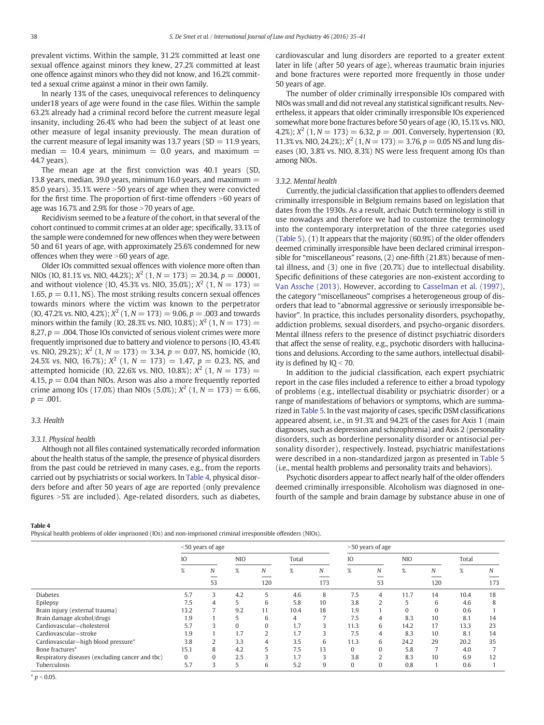prevalent victims. Within the sample, 31.2% committed at least one sexual offence against minors they knew, 27.2% committed at least one offence against minors who they did not know, and 16.2% committed a sexual crime against a minor in their own family.

In nearly 13% of the cases, unequivocal references to delinquency under18 years of age were found in the case files. Within the sample 63.2% already had a criminal record before the current measure legal insanity, including 26.4% who had been the subject of at least one other measure of legal insanity previously. The mean duration of the current measure of legal insanity was 13.7 years ( $SD = 11.9$  years, median  $= 10.4$  years, minimum  $= 0.0$  years, and maximum  $=$ 44.7 years).

The mean age at the first conviction was 40.1 years (SD, 13.8 years, median, 39.0 years, minimum 16.0 years, and maximum  $=$ 85.0 years). 35.1% were  $>$  50 years of age when they were convicted for the first time. The proportion of first-time offenders  $>60$  years of age was  $16.7\%$  and  $2.9\%$  for those  $>70$  years of age.

Recidivism seemed to be a feature of the cohort, in that several of the cohort continued to commit crimes at an older age; specifically, 33.1% of the sample were condemned for new offences when they were between 50 and 61 years of age, with approximately 25.6% condemned for new offences when they were  $>60$  years of age.

Older IOs committed sexual offences with violence more often than NIOs (IO, 81.1% vs. NIO, 44.2%);  $X^2$  (1, N = 173) = 20.34, p = .00001, and without violence (IO, 45.3% vs. NIO, 35.0%);  $X^2$  (1, N = 173) = 1.65,  $p = 0.11$ , NS). The most striking results concern sexual offences towards minors where the victim was known to the perpetrator  $(10, 47.2\% \text{ vs. NIO}, 4.2\%); X^2(1, N = 173) = 9.06, p = .003$  and towards minors within the family (IO, 28.3% vs. NIO, 10.8%);  $X^2$  (1,  $N = 173$ ) = 8,27,  $p = 0.004$ . Those IOs convicted of serious violent crimes were more frequently imprisoned due to battery and violence to persons (IO, 43.4% vs. NIO, 29.2%);  $X^2$  (1,  $N = 173$ ) = 3.34,  $p = 0.07$ , NS, homicide (IO, 24.5% vs. NIO, 16.7%);  $X^2$  (1,  $N = 173$ ) = 1.47,  $p = 0.23$ , NS, and attempted homicide (IO, 22.6% vs. NIO, 10.8%);  $X^2$  (1, N = 173) = 4.15,  $p = 0.04$  than NIOs. Arson was also a more frequently reported crime among IOs (17.0%) than NIOs (5.0%);  $X^2$  (1,  $N = 173$ ) = 6.66,  $p = .001$ .

# 3.3. Health

# 3.3.1. Physical health

Although not all files contained systematically recorded information about the health status of the sample, the presence of physical disorders from the past could be retrieved in many cases, e.g., from the reports carried out by psychiatrists or social workers. In Table 4, physical disorders before and after 50 years of age are reported (only prevalence figures  $>5\%$  are included). Age-related disorders, such as diabetes, cardiovascular and lung disorders are reported to a greater extent later in life (after 50 years of age), whereas traumatic brain injuries and bone fractures were reported more frequently in those under 50 years of age.

The number of older criminally irresponsible IOs compared with NIOs was small and did not reveal any statistical significant results. Nevertheless, it appears that older criminally irresponsible IOs experienced somewhat more bone fractures before 50 years of age (IO, 15.1% vs. NIO, 4.2%);  $X^2$  (1,  $N = 173$ ) = 6.32,  $p = .001$ . Conversely, hypertension (IO, 11.3% vs. NIO, 24.2%);  $X^2$  (1,  $N = 173$ ) = 3.76,  $p = 0.05$  NS and lung diseases (IO, 3.8% vs. NIO, 8.3%) NS were less frequent among IOs than among NIOs.

#### 3.3.2. Mental health

Currently, the judicial classification that applies to offenders deemed criminally irresponsible in Belgium remains based on legislation that dates from the 1930s. As a result, archaic Dutch terminology is still in use nowadays and therefore we had to customize the terminology into the contemporary interpretation of the three categories used [\(Table 5](#page-4-0)). (1) It appears that the majority (60.9%) of the older offenders deemed criminally irresponsible have been declared criminal irresponsible for "miscellaneous" reasons, (2) one-fifth (21.8%) because of mental illness, and (3) one in five (20.7%) due to intellectual disability. Specific definitions of these categories are non-existent according to [Van Assche \(2013\)](#page-6-0). However, according to [Casselman et al. \(1997\),](#page-5-0) the category "miscellaneous" comprises a heterogeneous group of disorders that lead to "abnormal aggressive or seriously irresponsible behavior". In practice, this includes personality disorders, psychopathy, addiction problems, sexual disorders, and psycho-organic disorders. Mental illness refers to the presence of distinct psychiatric disorders that affect the sense of reality, e.g., psychotic disorders with hallucinations and delusions. According to the same authors, intellectual disability is defined by  $IO < 70$ .

In addition to the judicial classification, each expert psychiatric report in the case files included a reference to either a broad typology of problems (e.g., intellectual disability or psychiatric disorder) or a range of manifestations of behaviors or symptoms, which are summarized in [Table 5.](#page-4-0) In the vast majority of cases, specific DSM classifications appeared absent, i.e., in 91.3% and 94.2% of the cases for Axis 1 (main diagnoses, such as depression and schizophrenia) and Axis 2 (personality disorders, such as borderline personality disorder or antisocial personality disorder), respectively. Instead, psychiatric manifestations were described in a non-standardized jargon as presented in [Table 5](#page-4-0) (i.e., mental health problems and personality traits and behaviors).

Psychotic disorders appear to affect nearly half of the older offenders deemed criminally irresponsible. Alcoholism was diagnosed in onefourth of the sample and brain damage by substance abuse in one of

#### Table 4

Physical health problems of older imprisoned (IOs) and non-imprisoned criminal irresponsible offenders (NIOs).

|                                                 | $<$ 50 years of age |            |            |     |       |        | >50 years of age |    |            |          |       |     |
|-------------------------------------------------|---------------------|------------|------------|-----|-------|--------|------------------|----|------------|----------|-------|-----|
|                                                 | IO                  |            | <b>NIO</b> |     | Total |        | IO               |    | <b>NIO</b> |          | Total |     |
|                                                 | N<br>%              |            | $\%$       | Ν   | %     | Ν      | %                | Ν  | ℅          | Ν        | %     | N   |
|                                                 |                     | 53         |            | 120 |       | 173    |                  | 53 |            | 120      |       | 173 |
| <b>Diabetes</b>                                 | 5.7                 | 3          | 4.2        | ר   | 4.6   | 8      | 7.5              | 4  | 11.7       | 14       | 10.4  | 18  |
| Epilepsy                                        | 7.5                 | 4          | 5          | 6   | 5.8   | 10     | 3.8              |    |            | 6        | 4.6   | 8   |
| Brain injury (external trauma)                  | 13.2                |            | 9.2        | 11  | 10.4  | 18     | 1.9              |    | $\Omega$   | $\Omega$ | 0.6   |     |
| Brain damage alcohol/drugs                      | 1.9                 |            |            | b   | 4     |        | 7.5              |    | 8.3        | 10       | 8.1   | 14  |
| Cardiovascular-cholesterol                      | 5.7                 |            | 0          |     | 1.7   |        | 11.3             | 6  | 14.2       | 17       | 13.3  | 23  |
| Cardiovascular-stroke                           | 1.9                 |            | 1.7        |     | 1.7   |        | 7.5              | 4  | 8.3        | 10       | 8.1   | 14  |
| Cardiovascular-high blood pressure*             | 3.8                 |            | 3.3        | 4   | 3.5   | 6      | 11.3             | 6  | 24.2       | 29       | 20.2  | 35  |
| Bone fractures*                                 | 15.1                | 8          | 4.2        |     | 7.5   | 13     |                  |    | 5.8        | 7        | 4.0   |     |
| Respiratory diseases (excluding cancer and tbc) | $\mathbf{0}$        |            | 2.5        | ◠   | 1.7   | $\sim$ | 3.8              |    | 8.3        | 10       | 6.9   | 12  |
| Tuberculosis                                    | 5.7                 | $\sqrt{2}$ | 5          | b   | 5.2   | 9      |                  |    | 0.8        |          | 0.6   |     |

 $* n < 0.05$ .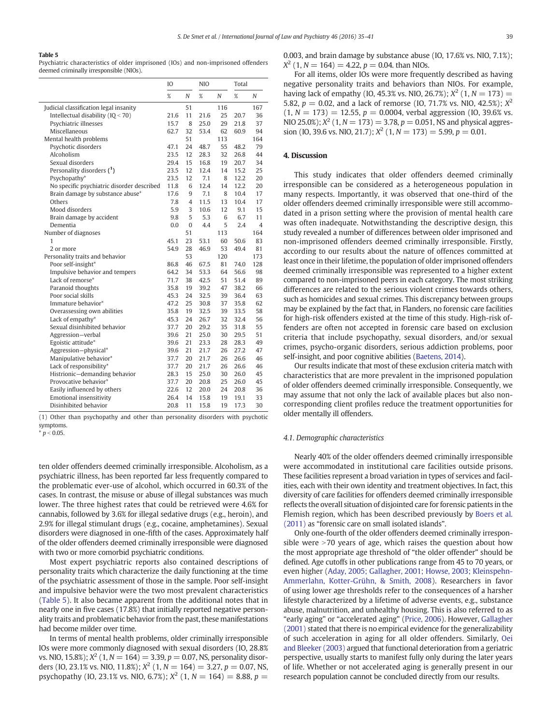#### <span id="page-4-0"></span>Table 5

Psychiatric characteristics of older imprisoned (IOs) and non-imprisoned offenders deemed criminally irresponsible (NIOs).

|                                            | IO.  |                |      | <b>NIO</b> |      |     |
|--------------------------------------------|------|----------------|------|------------|------|-----|
|                                            | %    | Ν              | %    | N          | %    | N   |
| Judicial classification legal insanity     |      | 51             |      | 116        |      | 167 |
| Intellectual disability ( $IQ < 70$ )      | 21.6 | 11             | 21.6 | 25         | 20.7 | 36  |
| Psychiatric illnesses                      | 15.7 | 8              | 25.0 | 29         | 21.8 | 37  |
| Miscellaneous                              | 62.7 | 32             | 53.4 | 62         | 60.9 | 94  |
| Mental health problems                     |      | 51             |      | 113        |      | 164 |
| Psychotic disorders                        | 47.1 | 24             | 48.7 | 55         | 48.2 | 79  |
| Alcoholism                                 | 23.5 | 12             | 28.3 | 32         | 26.8 | 44  |
| Sexual disorders                           | 29.4 | 15             | 16.8 | 19         | 20.7 | 34  |
| Personality disorders (1)                  | 23.5 | 12             | 12.4 | 14         | 15.2 | 25  |
| Psychopathy*                               | 23.5 | 12             | 7.1  | 8          | 12.2 | 20  |
| No specific psychiatric disorder described | 11.8 | 6              | 12.4 | 14         | 12.2 | 20  |
| Brain damage by substance abuse*           | 17.6 | 9              | 7.1  | 8          | 10.4 | 17  |
| Others                                     | 7.8  | $\overline{4}$ | 11.5 | 13         | 10.4 | 17  |
| Mood disorders                             | 5.9  | 3              | 10.6 | 12         | 9.1  | 15  |
| Brain damage by accident                   | 9.8  | 5              | 5.3  | 6          | 6.7  | 11  |
| Dementia                                   | 0.0  | $\mathbf{0}$   | 4.4  | 5          | 2.4  | 4   |
| Number of diagnoses                        |      | 51             |      | 113        |      | 164 |
| 1                                          | 45.1 | 23             | 53.1 | 60         | 50.6 | 83  |
| 2 or more                                  | 54.9 | 28             | 46.9 | 53         | 49.4 | 81  |
| Personality traits and behavior            |      | 53             |      | 120        |      | 173 |
| Poor self-insight*                         | 86.8 | 46             | 67.5 | 81         | 74.0 | 128 |
| Impulsive behavior and tempers             | 64.2 | 34             | 53.3 | 64         | 56.6 | 98  |
| Lack of remorse*                           | 71.7 | 38             | 42.5 | 51         | 51.4 | 89  |
| Paranoid thoughts                          | 35.8 | 19             | 39.2 | 47         | 38.2 | 66  |
| Poor social skills                         | 45.3 | 24             | 32.5 | 39         | 36.4 | 63  |
| Immature behavior*                         | 47.2 | 25             | 30.8 | 37         | 35.8 | 62  |
| Overassessing own abilities                | 35.8 | 19             | 32.5 | 39         | 33.5 | 58  |
| Lack of empathy*                           | 45.3 | 24             | 26.7 | 32         | 32.4 | 56  |
| Sexual disinhibited behavior               | 37.7 | 20             | 29.2 | 35         | 31.8 | 55  |
| Aggression-verbal                          | 39.6 | 21             | 25.0 | 30         | 29.5 | 51  |
| Egoistic attitude*                         | 39.6 | 21             | 23.3 | 28         | 28.3 | 49  |
| Aggression-physical*                       | 39.6 | 21             | 21.7 | 26         | 27.2 | 47  |
| Manipulative behavior*                     | 37.7 | 20             | 21.7 | 26         | 26.6 | 46  |
| Lack of responsibility*                    | 37.7 | 20             | 21.7 | 26         | 26.6 | 46  |
| Histrionic-demanding behavior              | 28.3 | 15             | 25.0 | 30         | 26.0 | 45  |
| Provocative behavior*                      | 37.7 | 20             | 20.8 | 25         | 26.0 | 45  |
| Easily influenced by others                | 22.6 | 12             | 20.0 | 24         | 20.8 | 36  |
| <b>Emotional insensitivity</b>             | 26.4 | 14             | 15.8 | 19         | 19.1 | 33  |
| Disinhibited behavior                      | 20.8 | 11             | 15.8 | 19         | 17.3 | 30  |

(1) Other than psychopathy and other than personality disorders with psychotic symptoms.

ten older offenders deemed criminally irresponsible. Alcoholism, as a psychiatric illness, has been reported far less frequently compared to the problematic ever-use of alcohol, which occurred in 60.3% of the cases. In contrast, the misuse or abuse of illegal substances was much lower. The three highest rates that could be retrieved were 4.6% for cannabis, followed by 3.6% for illegal sedative drugs (e.g., heroin), and 2.9% for illegal stimulant drugs (e.g., cocaine, amphetamines). Sexual disorders were diagnosed in one-fifth of the cases. Approximately half of the older offenders deemed criminally irresponsible were diagnosed with two or more comorbid psychiatric conditions.

Most expert psychiatric reports also contained descriptions of personality traits which characterize the daily functioning at the time of the psychiatric assessment of those in the sample. Poor self-insight and impulsive behavior were the two most prevalent characteristics (Table 5). It also became apparent from the additional notes that in nearly one in five cases (17.8%) that initially reported negative personality traits and problematic behavior from the past, these manifestations had become milder over time.

In terms of mental health problems, older criminally irresponsible IOs were more commonly diagnosed with sexual disorders (IO, 28.8% vs. NIO, 15.8%);  $X^2$  (1,  $N = 164$ ) = 3.39,  $p = 0.07$ , NS, personality disorders (IO, 23.1% vs. NIO, 11.8%);  $X^2$  (1,  $N = 164$ ) = 3.27,  $p = 0.07$ , NS, psychopathy (IO, 23.1% vs. NIO, 6.7%);  $X^2$  (1,  $N = 164$ ) = 8.88,  $p =$  0.003, and brain damage by substance abuse (IO, 17.6% vs. NIO, 7.1%);  $X^{2}$  (1, N = 164) = 4.22, p = 0.04, than NIOs.

For all items, older IOs were more frequently described as having negative personality traits and behaviors than NIOs. For example, having lack of empathy (IO, 45.3% vs. NIO, 26.7%);  $X^2$  (1, N = 173) = 5.82,  $p = 0.02$ , and a lack of remorse (IO, 71.7% vs. NIO, 42.5%);  $X^2$  $(1, N = 173) = 12.55$ ,  $p = 0.0004$ , verbal aggression (IO, 39.6% vs. NIO 25.0%);  $X^2$  (1,  $N = 173$ ) = 3.78,  $p = 0.051$ , NS and physical aggression (IO, 39.6 vs. NIO, 21.7);  $X^2$  (1, N = 173) = 5.99, p = 0.01.

#### 4. Discussion

This study indicates that older offenders deemed criminally irresponsible can be considered as a heterogeneous population in many respects. Importantly, it was observed that one-third of the older offenders deemed criminally irresponsible were still accommodated in a prison setting where the provision of mental health care was often inadequate. Notwithstanding the descriptive design, this study revealed a number of differences between older imprisoned and non-imprisoned offenders deemed criminally irresponsible. Firstly, according to our results about the nature of offences committed at least once in their lifetime, the population of older imprisoned offenders deemed criminally irresponsible was represented to a higher extent compared to non-imprisoned peers in each category. The most striking differences are related to the serious violent crimes towards others, such as homicides and sexual crimes. This discrepancy between groups may be explained by the fact that, in Flanders, no forensic care facilities for high-risk offenders existed at the time of this study. High-risk offenders are often not accepted in forensic care based on exclusion criteria that include psychopathy, sexual disorders, and/or sexual crimes, psycho-organic disorders, serious addiction problems, poor self-insight, and poor cognitive abilities ([Baetens, 2014\)](#page-5-0).

Our results indicate that most of these exclusion criteria match with characteristics that are more prevalent in the imprisoned population of older offenders deemed criminally irresponsible. Consequently, we may assume that not only the lack of available places but also noncorresponding client profiles reduce the treatment opportunities for older mentally ill offenders.

# 4.1. Demographic characteristics

Nearly 40% of the older offenders deemed criminally irresponsible were accommodated in institutional care facilities outside prisons. These facilities represent a broad variation in types of services and facilities, each with their own identity and treatment objectives. In fact, this diversity of care facilities for offenders deemed criminally irresponsible reflects the overall situation of disjointed care for forensic patients in the Flemish region, which has been described previously by [Boers et al.](#page-5-0) [\(2011\)](#page-5-0) as "forensic care on small isolated islands".

Only one-fourth of the older offenders deemed criminally irresponsible were  $>70$  years of age, which raises the question about how the most appropriate age threshold of "the older offender" should be defined. Age cutoffs in other publications range from 45 to 70 years, or even higher [\(Aday, 2005; Gallagher, 2001; Howse, 2003; Kleinspehn-](#page-5-0)[Ammerlahn, Kotter-Grühn, & Smith, 2008\)](#page-5-0). Researchers in favor of using lower age thresholds refer to the consequences of a harsher lifestyle characterized by a lifetime of adverse events, e.g., substance abuse, malnutrition, and unhealthy housing. This is also referred to as "early aging" or "accelerated aging" ([Price, 2006](#page-6-0)). However, [Gallagher](#page-6-0) [\(2001\)](#page-6-0) stated that there is no empirical evidence for the generalizability of such acceleration in aging for all older offenders. Similarly, [Oei](#page-6-0) [and Bleeker \(2003\)](#page-6-0) argued that functional deterioration from a geriatric perspective, usually starts to manifest fully only during the later years of life. Whether or not accelerated aging is generally present in our research population cannot be concluded directly from our results.

 $* p < 0.05.$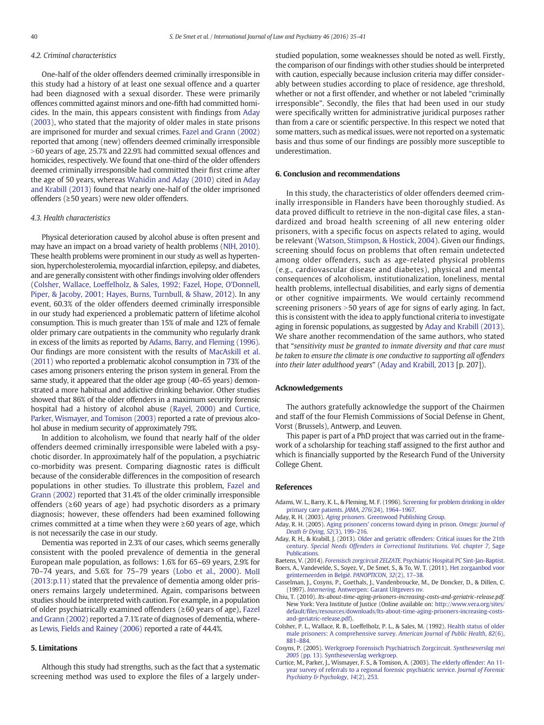# <span id="page-5-0"></span>4.2. Criminal characteristics

One-half of the older offenders deemed criminally irresponsible in this study had a history of at least one sexual offence and a quarter had been diagnosed with a sexual disorder. These were primarily offences committed against minors and one-fifth had committed homicides. In the main, this appears consistent with findings from Aday (2003), who stated that the majority of older males in state prisons are imprisoned for murder and sexual crimes. [Fazel and Grann \(2002\)](#page-6-0) reported that among (new) offenders deemed criminally irresponsible  $>60$  years of age, 25.7% and 22.9% had committed sexual offences and homicides, respectively. We found that one-third of the older offenders deemed criminally irresponsible had committed their first crime after the age of 50 years, whereas [Wahidin and Aday \(2010\)](#page-6-0) cited in Aday and Krabill (2013) found that nearly one-half of the older imprisoned offenders (≥50 years) were new older offenders.

# 4.3. Health characteristics

Physical deterioration caused by alcohol abuse is often present and may have an impact on a broad variety of health problems ([NIH, 2010\)](#page-6-0). These health problems were prominent in our study as well as hypertension, hypercholesterolemia, myocardial infarction, epilepsy, and diabetes, and are generally consistent with other findings involving older offenders (Colsher, Wallace, Loeffelholz, & Sales, 1992; Fazel, Hope, O'Donnell, Piper, & Jacoby, 2001; Hayes, Burns, Turnbull, & Shaw, 2012). In any event, 60.3% of the older offenders deemed criminally irresponsible in our study had experienced a problematic pattern of lifetime alcohol consumption. This is much greater than 15% of male and 12% of female older primary care outpatients in the community who regularly drank in excess of the limits as reported by Adams, Barry, and Fleming (1996). Our findings are more consistent with the results of [MacAskill et al.](#page-6-0) [\(2011\)](#page-6-0) who reported a problematic alcohol consumption in 73% of the cases among prisoners entering the prison system in general. From the same study, it appeared that the older age group (40–65 years) demonstrated a more habitual and addictive drinking behavior. Other studies showed that 86% of the older offenders in a maximum security forensic hospital had a history of alcohol abuse [\(Rayel, 2000\)](#page-6-0) and Curtice, Parker, Wismayer, and Tomison (2003) reported a rate of previous alcohol abuse in medium security of approximately 79%.

In addition to alcoholism, we found that nearly half of the older offenders deemed criminally irresponsible were labeled with a psychotic disorder. In approximately half of the population, a psychiatric co-morbidity was present. Comparing diagnostic rates is difficult because of the considerable differences in the composition of research populations in other studies. To illustrate this problem, [Fazel and](#page-6-0) [Grann \(2002\)](#page-6-0) reported that 31.4% of the older criminally irresponsible offenders (≥60 years of age) had psychotic disorders as a primary diagnosis; however, these offenders had been examined following crimes committed at a time when they were ≥60 years of age, which is not necessarily the case in our study.

Dementia was reported in 2.3% of our cases, which seems generally consistent with the pooled prevalence of dementia in the general European male population, as follows: 1.6% for 65–69 years, 2.9% for 70–74 years, and 5.6% for 75–79 years ([Lobo et al., 2000\)](#page-6-0). [Moll](#page-6-0) [\(2013:p.11\)](#page-6-0) stated that the prevalence of dementia among older prisoners remains largely undetermined. Again, comparisons between studies should be interpreted with caution. For example, in a population of older psychiatrically examined offenders (≥60 years of age), [Fazel](#page-6-0) [and Grann \(2002\)](#page-6-0) reported a 7.1% rate of diagnoses of dementia, whereas [Lewis, Fields and Rainey \(2006\)](#page-6-0) reported a rate of 44.4%.

# 5. Limitations

Although this study had strengths, such as the fact that a systematic screening method was used to explore the files of a largely understudied population, some weaknesses should be noted as well. Firstly, the comparison of our findings with other studies should be interpreted with caution, especially because inclusion criteria may differ considerably between studies according to place of residence, age threshold, whether or not a first offender, and whether or not labeled "criminally irresponsible". Secondly, the files that had been used in our study were specifically written for administrative juridical purposes rather than from a care or scientific perspective. In this respect we noted that some matters, such as medical issues, were not reported on a systematic basis and thus some of our findings are possibly more susceptible to underestimation.

# 6. Conclusion and recommendations

In this study, the characteristics of older offenders deemed criminally irresponsible in Flanders have been thoroughly studied. As data proved difficult to retrieve in the non-digital case files, a standardized and broad health screening of all new entering older prisoners, with a specific focus on aspects related to aging, would be relevant [\(Watson, Stimpson, & Hostick, 2004](#page-6-0)). Given our findings, screening should focus on problems that often remain undetected among older offenders, such as age-related physical problems (e.g., cardiovascular disease and diabetes), physical and mental consequences of alcoholism, institutionalization, loneliness, mental health problems, intellectual disabilities, and early signs of dementia or other cognitive impairments. We would certainly recommend screening prisoners > 50 years of age for signs of early aging. In fact, this is consistent with the idea to apply functional criteria to investigate aging in forensic populations, as suggested by Aday and Krabill (2013). We share another recommendation of the same authors, who stated that "sensitivity must be granted to inmate diversity and that care must be taken to ensure the climate is one conductive to supporting all offenders into their later adulthood years" (Aday and Krabill, 2013 [p. 207]).

#### Acknowledgements

The authors gratefully acknowledge the support of the Chairmen and staff of the four Flemish Commissions of Social Defense in Ghent, Vorst (Brussels), Antwerp, and Leuven.

This paper is part of a PhD project that was carried out in the framework of a scholarship for teaching staff assigned to the first author and which is financially supported by the Research Fund of the University College Ghent.

# References

- Adams, W. L., Barry, K. L., & Fleming, M. F. (1996). [Screening for problem drinking in older](http://refhub.elsevier.com/S0160-2527(16)30038-3/rf0005) [primary care patients.](http://refhub.elsevier.com/S0160-2527(16)30038-3/rf0005) JAMA, 276(24), 1964–1967.
- Aday, R. H. (2003). Aging prisoners. [Greenwood Publishing Group.](http://refhub.elsevier.com/S0160-2527(16)30038-3/rf0010)
- Aday, R. H. (2005). [Aging prisoners' concerns toward dying in prison.](http://refhub.elsevier.com/S0160-2527(16)30038-3/rf0015) Omega: Journal of [Death & Dying](http://refhub.elsevier.com/S0160-2527(16)30038-3/rf0015), 52(3), 199-216.
- Aday, R. H., & Krabill, J. (2013). [Older and geriatric offenders: Critical issues for the 21th](http://refhub.elsevier.com/S0160-2527(16)30038-3/rf0020) century. [Special Needs Offenders in Correctional Institutions. Vol. chapter 7](http://refhub.elsevier.com/S0160-2527(16)30038-3/rf0020), Sage [Publications.](http://refhub.elsevier.com/S0160-2527(16)30038-3/rf0020)
- Baetens, V. (2014). Forensisch zorgcircuit ZELZATE. [Psychiatric Hospital PC Sint-Jan-Baptist.](http://refhub.elsevier.com/S0160-2527(16)30038-3/rf0025) Boers, A., Vandevelde, S., Soyez, V., De Smet, S., & To, W. T. (2011). [Het zorgaanbod voor](http://refhub.elsevier.com/S0160-2527(16)30038-3/rf0030) [geïnterneerden in België.](http://refhub.elsevier.com/S0160-2527(16)30038-3/rf0030) PANOPTICON, 32(2), 17–38.
- Casselman, J., Cosyns, P., Goethals, J., Vandenbroucke, M., De Doncker, D., & Dillen, C. (1997). Internering. [Antwerpen: Garant Uitgevers nv.](http://refhub.elsevier.com/S0160-2527(16)30038-3/rf0035)
- Chiu, T. (2010). Its-about-time-aging-prisoners-increasing-costs-and-geriatric-release.pdf. New York: Vera Institute of Justice (Online available on: [http://www.vera.org/sites/](http://www.vera.org/sites/default/files/resources/downloads/Its-about-time-aging-prisoners-increasing-costs-and-geriatric-release.pdf) default/fi[les/resources/downloads/Its-about-time-aging-prisoners-increasing-costs](http://www.vera.org/sites/default/files/resources/downloads/Its-about-time-aging-prisoners-increasing-costs-and-geriatric-release.pdf)[and-geriatric-release.pdf](http://www.vera.org/sites/default/files/resources/downloads/Its-about-time-aging-prisoners-increasing-costs-and-geriatric-release.pdf)).
- Colsher, P. L., Wallace, R. B., Loeffelholz, P. L., & Sales, M. (1992). [Health status of older](http://refhub.elsevier.com/S0160-2527(16)30038-3/rf0045) [male prisoners: A comprehensive survey.](http://refhub.elsevier.com/S0160-2527(16)30038-3/rf0045) American Journal of Public Health, 82(6), 881–[884.](http://refhub.elsevier.com/S0160-2527(16)30038-3/rf0045)
- Cosyns, P. (2005). [Werkgroep Forensisch Psychiatrisch Zorgcircuit.](http://refhub.elsevier.com/S0160-2527(16)30038-3/rf0050) Syntheseverslag mei 2005 [\(pp. 13\). Syntheseverslag werkgroep.](http://refhub.elsevier.com/S0160-2527(16)30038-3/rf0050)
- Curtice, M., Parker, J., Wismayer, F. S., & Tomison, A. (2003). [The elderly offender: An 11](http://refhub.elsevier.com/S0160-2527(16)30038-3/rf0055) [year survey of referrals to a regional forensic psychiatric service.](http://refhub.elsevier.com/S0160-2527(16)30038-3/rf0055) Journal of Forensic [Psychiatry & Psychology](http://refhub.elsevier.com/S0160-2527(16)30038-3/rf0055), 14(2), 253.